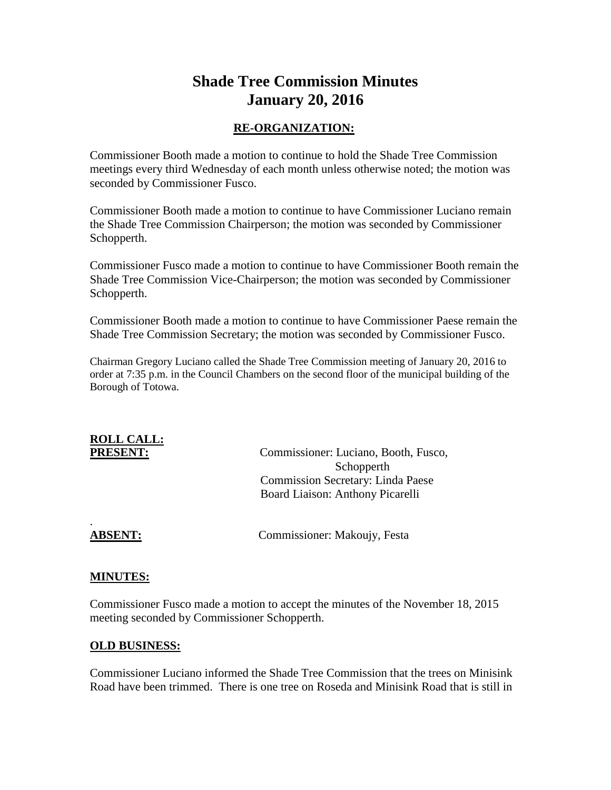# **Shade Tree Commission Minutes January 20, 2016**

#### **RE-ORGANIZATION:**

Commissioner Booth made a motion to continue to hold the Shade Tree Commission meetings every third Wednesday of each month unless otherwise noted; the motion was seconded by Commissioner Fusco.

Commissioner Booth made a motion to continue to have Commissioner Luciano remain the Shade Tree Commission Chairperson; the motion was seconded by Commissioner Schopperth.

Commissioner Fusco made a motion to continue to have Commissioner Booth remain the Shade Tree Commission Vice-Chairperson; the motion was seconded by Commissioner Schopperth.

Commissioner Booth made a motion to continue to have Commissioner Paese remain the Shade Tree Commission Secretary; the motion was seconded by Commissioner Fusco.

Chairman Gregory Luciano called the Shade Tree Commission meeting of January 20, 2016 to order at 7:35 p.m. in the Council Chambers on the second floor of the municipal building of the Borough of Totowa.

# **ROLL CALL:**

**PRESENT:** Commissioner: Luciano, Booth, Fusco, Schopperth Commission Secretary: Linda Paese Board Liaison: Anthony Picarelli

.

**ABSENT:** Commissioner: Makoujy, Festa

#### **MINUTES:**

Commissioner Fusco made a motion to accept the minutes of the November 18, 2015 meeting seconded by Commissioner Schopperth.

#### **OLD BUSINESS:**

Commissioner Luciano informed the Shade Tree Commission that the trees on Minisink Road have been trimmed. There is one tree on Roseda and Minisink Road that is still in